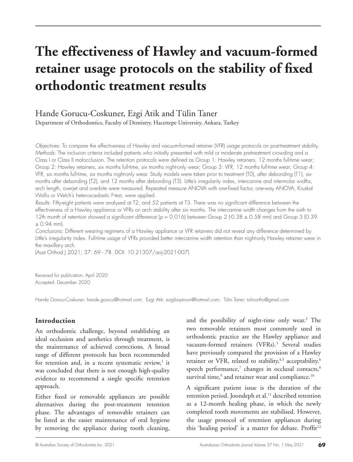# **The effectiveness of Hawley and vacuum-formed retainer usage protocols on the stability of fixed orthodontic treatment results**

## Hande Gorucu-Coskuner, Ezgi Atik and Tülin Taner

Department of Orthodontics, Faculty of Dentistry, Hacettepe University, Ankara, Turkey

*Objectives:* To compare the effectiveness of Hawley and vacuum-formed retainer (VFR) usage protocols on post-treatment stability. *Methods:* The inclusion criteria included patients who initially presented with mild or moderate pretreatment crowding and a Class I or Class II malocclusion. The retention protocols were defined as Group 1: Hawley retainers, 12 months full-time wear; Group 2: Hawley retainers, six months full-time, six months night-only wear; Group 3: VFR, 12 months full-time wear; Group 4: VFR, six months full-time, six months night-only wear. Study models were taken prior to treatment (T0), after debonding (T1), six months after debonding (T2), and 12 months after debonding (T3). Little's irregularity index, intercanine and intermolar widths, arch length, overjet and overbite were measured. Repeated measure ANOVA with one-fixed factor, one-way ANOVA, Kruskal Wallis or Welch's heteroscedastic F-test, were applied.

*Results:* Fifty-eight patients were analysed at T2, and 52 patients at T3. There was no significant difference between the effectiveness of a Hawley appliance or VFRs on arch stability after six months. The intercanine width changes from the sixth to 12th month of retention showed a significant difference ( $p = 0.016$ ) between Group 2 (-0.38  $\pm$  0.58 mm) and Group 3 (0.39 ± 0.94 mm).

*Conclusions:* Different wearing regimens of a Hawley appliance or VFR retainers did not reveal any difference determined by Little's irregularity index. Full-time usage of VFRs provided better intercanine width retention than night-only Hawley retainer wear in the maxillary arch.

(Aust Orthod J 2021; 37: 69 - 78. DOI: 10.21307/aoj-2021-007)

Received for publication: April 2020 Accepted: December 2020

Hande Gorucu-Coskuner: hande.gorucu@hotmail.com; Ezgi Atik: ezgibaytorun@hotmail.com; Tülin Taner: tulinortho@gmail.com

## **Introduction**

An orthodontic challenge, beyond establishing an ideal occlusion and aesthetics through treatment, is the maintenance of achieved corrections. A broad range of different protocols has been recommended for retention and, in a recent systematic review, $1$  it was concluded that there is not enough high-quality evidence to recommend a single specific retention approach.

Either fixed or removable appliances are possible alternatives during the post-treatment retention phase. The advantages of removable retainers can be listed as the easier maintenance of oral hygiene by removing the appliance during tooth cleaning,

and the possibility of night-time only wear.<sup>2</sup> The two removable retainers most commonly used in orthodontic practice are the Hawley appliance and vacuum-formed retainers (VFRs).<sup>3</sup> Several studies have previously compared the provision of a Hawley retainer or VFR, related to stability, $4,5$  acceptability, $6$ speech performance,<sup>7</sup> changes in occlusal contacts,<sup>8</sup> survival time, $9$  and retainer wear and compliance.<sup>10</sup>

A significant patient issue is the duration of the retention period. Joondeph et al.<sup>11</sup> described retention as a 12-month healing phase, in which the newly completed tooth movements are stabilised. However, the usage protocol of retention appliances during this 'healing period' is a matter for debate. Proffit<sup>12</sup>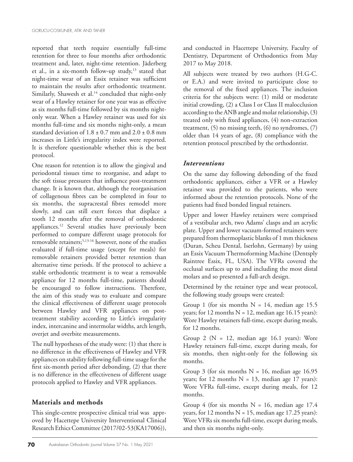reported that teeth require essentially full-time retention for three to four months after orthodontic treatment and, later, night-time retention. Jäderberg et al., in a six-month follow-up study,<sup>13</sup> stated that night-time wear of an Essix retainer was sufficient to maintain the results after orthodontic treatment. Similarly, Shawesh et al.<sup>14</sup> concluded that night-only wear of a Hawley retainer for one year was as effective as six months full-time followed by six months nightonly wear. When a Hawley retainer was used for six months full-time and six months night-only, a mean standard deviation of  $1.8 \pm 0.7$  mm and  $2.0 \pm 0.8$  mm increases in Little's irregularity index were reported. It is therefore questionable whether this is the best protocol.

One reason for retention is to allow the gingival and periodontal tissues time to reorganise, and adapt to the soft tissue pressures that influence post-treatment change. It is known that, although the reorganisation of collagenous fibres can be completed in four to six months, the supracrestal fibres remodel more slowly, and can still exert forces that displace a tooth 12 months after the removal of orthodontic appliances.12 Several studies have previously been performed to compare different usage protocols for removable retainers;5,13-16 however, none of the studies evaluated if full-time usage (except for meals) for removable retainers provided better retention than alternative time periods. If the protocol to achieve a stable orthodontic treatment is to wear a removable appliance for 12 months full-time, patients should be encouraged to follow instructions. Therefore, the aim of this study was to evaluate and compare the clinical effectiveness of different usage protocols between Hawley and VFR appliances on posttreatment stability according to Little's irregularity index, intercanine and intermolar widths, arch length, overjet and overbite measurements.

The null hypotheses of the study were: (1) that there is no difference in the effectiveness of Hawley and VFR appliances on stability following full-time usage for the first six-month period after debonding, (2) that there is no difference in the effectiveness of different usage protocols applied to Hawley and VFR appliances.

#### **Materials and methods**

This single-centre prospective clinical trial was approved by Hacettepe University Interventional Clinical Research Ethics Committee (2017/02-53(KA17006)), and conducted in Hacettepe University, Faculty of Dentistry, Department of Orthodontics from May 2017 to May 2018.

All subjects were treated by two authors (H.G-C. or E.A.) and were invited to participate close to the removal of the fixed appliances. The inclusion criteria for the subjects were: (1) mild or moderate initial crowding, (2) a Class I or Class II malocclusion according to the ANB angle and molar relationship, (3) treated only with fixed appliances, (4) non-extraction treatment, (5) no missing teeth, (6) no syndromes, (7) older than 14 years of age, (8) compliance with the retention protocol prescribed by the orthodontist.

#### *Interventions*

On the same day following debonding of the fixed orthodontic appliances, either a VFR or a Hawley retainer was provided to the patients, who were informed about the retention protocols. None of the patients had fixed bonded lingual retainers.

Upper and lower Hawley retainers were comprised of a vestibular arch, two Adams' clasps and an acrylic plate. Upper and lower vacuum-formed retainers were prepared from thermoplastic blanks of 1 mm thickness (Duran, Scheu Dental, Iserlohn, Germany) by using an Essix Vacuum Thermoforming Machine (Dentsply Raintree Essix, FL, USA). The VFRs covered the occlusal surfaces up to and including the most distal molars and so presented a full-arch design.

Determined by the retainer type and wear protocol, the following study groups were created:

Group 1 (for six months  $N = 14$ , median age 15.5 years; for 12 months  $N = 12$ , median age 16.15 years): Wore Hawley retainers full-time, except during meals, for 12 months.

Group 2 ( $N = 12$ , median age 16.1 years): Wore Hawley retainers full-time, except during meals, for six months, then night-only for the following six months.

Group 3 (for six months  $N = 16$ , median age 16.95 years; for 12 months  $N = 13$ , median age 17 years): Wore VFRs full-time, except during meals, for 12 months.

Group 4 (for six months  $N = 16$ , median age 17.4 years, for 12 months  $N = 15$ , median age 17.25 years): Wore VFRs six months full-time, except during meals, and then six months night-only.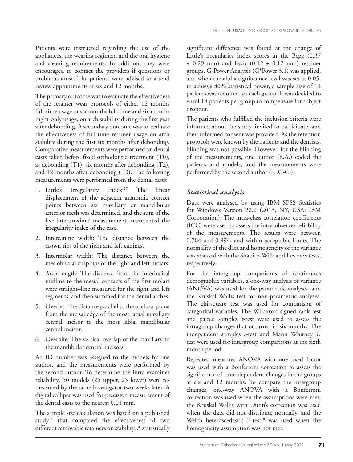Patients were instructed regarding the use of the appliances, the wearing regimen, and the oral hygiene and cleaning requirements. In addition, they were encouraged to contact the providers if questions or problems arose. The patients were advised to attend review appointments at six and 12 months.

The primary outcome was to evaluate the effectiveness of the retainer wear protocols of either 12 months full-time usage or six months full-time and six months night-only usage, on arch stability during the first year after debonding. A secondary outcome was to evaluate the effectiveness of full-time retainer usage on arch stability during the first six months after debonding. Comparative measurements were performed on dental casts taken before fixed orthodontic treatment (T0), at debonding (T1), six months after debonding (T2), and 12 months after debonding (T3). The following measurements were performed from the dental casts:

- 1. Little's Irregularity Index:<sup>17</sup> The linear displacement of the adjacent anatomic contact points between six maxillary or mandibular anterior teeth was determined, and the sum of the five interproximal measurements represented the irregularity index of the case.
- 2. Intercanine width: The distance between the crown tips of the right and left canines.
- 3. Intermolar width: The distance between the mesiobuccal cusp tips of the right and left molars.
- 4. Arch length: The distance from the interincisal midline to the mesial contacts of the first molars were straight–line measured for the right and left segments, and then summed for the dental arches.
- 5. Overjet: The distance parallel to the occlusal plane from the incisal edge of the most labial maxillary central incisor to the most labial mandibular central incisor.
- 6. Overbite: The vertical overlap of the maxillary to the mandibular central incisors.

An ID number was assigned to the models by one author, and the measurements were performed by the second author. To determine the intra-examiner reliability, 50 models (25 upper, 25 lower) were remeasured by the same investigator two weeks later. A digital calliper was used for precision measurement of the dental casts to the nearest 0.01 mm.

The sample size calculation was based on a published study15 that compared the effectiveness of two different removable retainers on stability. A statistically significant difference was found at the change of Little's irregularity index scores in the Begg (0.37  $\pm$  0.29 mm) and Essix (0.12  $\pm$  0.12 mm) retainer groups. G-Power Analysis (G\*Power 3.1) was applied, and when the alpha significance level was set at 0.05, to achieve 80% statistical power, a sample size of 14 patients was required for each group. It was decided to enrol 18 patients per group to compensate for subject dropout.

The patients who fulfilled the inclusion criteria were informed about the study, invited to participate, and their informed consent was provided. As the retention protocols were known by the patients and the dentists, blinding was not possible. However, for the blinding of the measurements, one author (E.A.) coded the patients and models, and the measurements were performed by the second author (H.G-C.).

#### *Statistical analysis*

Data were analysed by using IBM SPSS Statistics for Windows Version 22.0 (2013, NY, USA: IBM Corporation). The intra-class correlation coefficients (ICC) were used to assess the intra-observer reliability of the measurements. The results were between 0.704 and 0.994, and within acceptable limits. The normality of the data and homogeneity of the variance was assessed with the Shapiro-Wilk and Levene's tests, respectively.

For the intergroup comparisons of continuous demographic variables, a one-way analysis of variance (ANOVA) was used for the parametric analyses, and the Kruskal Wallis test for non-parametric analyses. The chi-square test was used for comparison of categorical variables. The Wilcoxon signed rank test and paired samples *t*-test were used to assess the intragroup changes that occurred in six months. The independent samples *t*-test and Mann Whitney U test were used for intergroup comparisons at the sixth month period.

Repeated measures ANOVA with one fixed factor was used with a Bonferroni correction to assess the significance of time-dependent changes in the groups at six and 12 months. To compare the intergroup changes, one-way ANOVA with a Bonferroni correction was used when the assumptions were met, the Kruskal Wallis with Dunn's correction was used when the data did not distribute normally, and the Welch heteroscedastic F-test<sup>18</sup> was used when the homogeneity assumption was not met.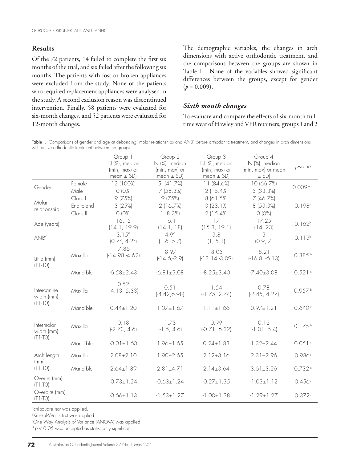## **Results**

Of the 72 patients, 14 failed to complete the first six months of the trial, and six failed after the following six months. The patients with lost or broken appliances were excluded from the study. None of the patients who required replacement appliances were analysed in the study. A second exclusion reason was discontinued intervention. Finally, 58 patients were evaluated for six-month changes, and 52 patients were evaluated for 12-month changes.

The demographic variables, the changes in arch dimensions with active orthodontic treatment, and the comparisons between the groups are shown in Table I. None of the variables showed significant differences between the groups, except for gender  $(p = 0.009)$ .

#### *Sixth month changes*

To evaluate and compare the effects of six-month fulltime wear of Hawley and VFR retainers, groups 1 and 2

Table I. Comparisons of gender and age at debonding, molar relationships and ANB° before orthodontic treatment, and changes in arch dimensions with active orthodontic treatment between the groups.

|                            |                                   | Group 1<br>N (%), median<br>(min, max) or<br>mean $\pm$ SD) | Group 2<br>N (%), median<br>(min, max) or<br>mean $\pm$ SD) | Group 3<br>N (%), median<br>(min, max) or<br>mean $\pm$ SD) | Group 4<br>N (%), median<br>(min, max) or mean<br>$\pm$ SD) | p-value            |
|----------------------------|-----------------------------------|-------------------------------------------------------------|-------------------------------------------------------------|-------------------------------------------------------------|-------------------------------------------------------------|--------------------|
| Gender                     | Female<br>Male                    | 12 (100%)<br>O (0%)                                         | 5(41.7%)<br>7(58.3%)                                        | 11 (84.6%)<br>2(15.4%)                                      | 10 (66.7%)<br>5 (33.3%)                                     | $0.009$ *,a        |
| Molar<br>relationship      | Class I<br>End-to-end<br>Class II | 9(75%)<br>3(25%)<br>O (0%)                                  | 9(75%)<br>2(16.7%)<br>1(8.3%)                               | 8 (61.5%)<br>3(23.1%)<br>2(15.4%)                           | 7 (46.7%)<br>8 (53.3%)<br>O (0%)                            | 0.198°             |
| Age (years)                |                                   | 16.15<br>(14.1, 19.9)                                       | 16.1<br>(14.1, 18)                                          | 17<br>(15.3, 19.1)                                          | 17.25<br>(14, 23)                                           | 0.162 <sup>b</sup> |
| <b>ANB</b> °               |                                   | $3.15^{\circ}$<br>$(0.7^{\circ}, 4.2^{\circ})$              | $4.9^\circ$<br>(1.6, 5.7)                                   | 3.8<br>(1, 5.1)                                             | 3<br>(0.9, 7)                                               | $0.113^{b}$        |
| Little (mm)<br>$(T1-TO)$   | Maxilla                           | $-7.86$<br>$[-14.98,-4.62]$                                 | $-8.97$<br>$[-14.6,-2.9]$                                   | $-8.05$<br>$[-13.14,-3.09]$                                 | $-8.21$<br>$[-16.8, -6.13]$                                 | 0.885              |
|                            | Mandible                          | $-6.58 \pm 2.43$                                            | $-6.81 \pm 3.08$                                            | $-8.25 \pm 3.40$                                            | $-7.40 \pm 3.08$                                            | 0.521c             |
| Intercanine<br>width (mm)  | Maxilla                           | 0.52<br>$[-4.13, 5.33]$                                     | 0.51<br>$[-4.42, 6.98]$                                     | 1.54<br>$[-1.75, 2.74]$                                     | 0.78<br>$[-2.45, 4.27]$                                     | 0.957b             |
| $(T1-TO)$                  | Mandible                          | $0.44 \pm 1.20$                                             | $1.07 \pm 1.67$                                             | $1.11 \pm 1.66$                                             | $0.97 \pm 1.21$                                             | 0.640c             |
| Intermolar<br>width (mm)   | Maxilla                           | 0.18<br>$[-2.73, 4.6]$                                      | 1.73<br>$[-1.5, 4.6]$                                       | 0.99<br>$[-0.71, 6.32]$                                     | 0.12<br>$(-1.01, 5.4)$                                      | $0.175^{b}$        |
| $(T1-TO)$                  | Mandible                          | $-0.01 \pm 1.60$                                            | $1.96 \pm 1.65$                                             | $0.24 \pm 1.83$                                             | $1.32 \pm 2.44$                                             | 0.051c             |
| Arch length<br>(mm)        | Maxilla                           | $2.08 \pm 2.10$                                             | $1.90 \pm 2.65$                                             | $2.12 \pm 3.16$                                             | $2.31 \pm 2.96$                                             | 0.986c             |
| $(T1-TO)$                  | Mandible                          | $2.64 \pm 1.89$                                             | $2.81 \pm 4.71$                                             | $2.14 \pm 3.64$                                             | $3.61 \pm 3.26$                                             | 0.732c             |
| Overjet (mm)<br>$(T1-TO)$  |                                   | $-0.73 \pm 1.24$                                            | $-0.63 \pm 1.24$                                            | $-0.27 \pm 1.35$                                            | $-1.03 \pm 1.12$                                            | 0.456c             |
| Overbite (mm)<br>$(T1-TO)$ |                                   | $-0.66 \pm 1.13$                                            | $-1.53 \pm 1.27$                                            | $-1.00 \pm 1.38$                                            | $-1.29 \pm 1.27$                                            | 0.372c             |

a chi-square test was applied.

b Kruskal-Wallis test was applied.

c One Way Analysis of Variance (ANOVA) was applied.

\**p* < 0.05 was accepted as statistically significant.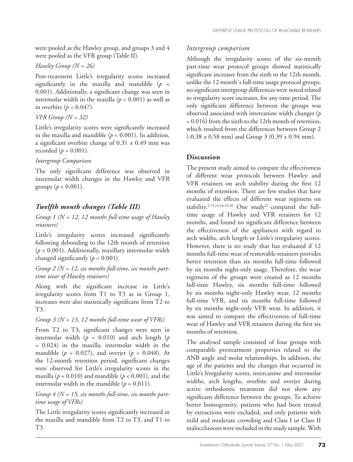were pooled as the Hawley group, and groups 3 and 4 were pooled as the VFR group (Table II).

## *Hawley Group (N = 26)*

Post-treatment Little's irregularity scores increased significantly in the maxilla and mandible  $(p \leq$ 0.001). Additionally, a significant change was seen in intermolar width in the maxilla ( $p < 0.001$ ) as well as in overbite  $(p = 0.047)$ .

## *VFR Group (N = 32)*

Little's irregularity scores were significantly increased in the maxilla and mandible  $(p < 0.001)$ . In addition, a significant overbite change of  $0.31 \pm 0.49$  mm was recorded  $(p = 0.001)$ .

## *Intergroup Comparison*

The only significant difference was observed in intermolar width changes in the Hawley and VFR groups ( $p < 0.001$ ).

## *Twelfth month changes (Table III)*

*Group 1 (N = 12, 12 months full-time usage of Hawley retainers)*

Little's irregularity scores increased significantly following debonding to the 12th month of retention (*p* < 0.001). Additionally, maxillary intermolar width changed significantly  $(p = 0.001)$ .

*Group 2 (N = 12, six months full-time, six months parttime wear of Hawley retainers)*

Along with the significant increase in Little's irregularity scores from T1 to T3 as in Group 1, increases were also statistically significant from T2 to T3.

## *Group 3 (N = 13, 12 months full-time wear of VFRs)*

From T2 to T3, significant changes were seen in intermolar width  $(p = 0.010)$  and arch length  $(p$ = 0.024) in the maxilla, intermolar width in the mandible ( $p = 0.027$ ), and overjet ( $p = 0.048$ ). At the 12-month retention period, significant changes were observed for Little's irregularity scores in the maxilla ( $p = 0.010$ ) and mandible ( $p < 0.001$ ), and the intermolar width in the mandible  $(p = 0.011)$ .

*Group 4 (N = 15, six months full-time, six months parttime usage of VFRs)*

The Little irregularity scores significantly increased in the maxilla and mandible from T2 to T3, and T1 to T3.

## *Intergroup comparison*

Although the irregularity scores of the six-month part-time wear protocol groups showed statistically significant increases from the sixth to the 12th month, unlike the 12 month̓s full-time usage protocol groups, no significant intergroup differences were noted related to irregularity score increases, for any time period. The only significant difference between the groups was observed associated with intercanine width changes (*p* = 0.016) from the sixth to the 12th month of retention, which resulted from the differences between Group 2  $(-0.38 \pm 0.58 \text{ mm})$  and Group 3  $(0.39 \pm 0.94 \text{ mm})$ .

## **Discussion**

The present study aimed to compare the effectiveness of different wear protocols between Hawley and VFR retainers on arch stability during the first 12 months of retention. There are few studies that have evaluated the effects of different wear regimens on stability.<sup>5,13,14,16,19,20</sup> One study<sup>21</sup> compared the fulltime usage of Hawley and VFR retainers for 12 months, and found no significant difference between the effectiveness of the appliances with regard to arch widths, arch length or Little's irregularity scores. However, there is no study that has evaluated if 12 months full-time wear of removable retainers provides better retention than six months full-time followed by six months night-only usage. Therefore, the wear regimens of the groups were created as 12 months full-time Hawley, six months full-time followed by six months night-only Hawley wear, 12 months full-time VFR, and six months full-time followed by six months night-only VFR wear. In addition, it was aimed to compare the effectiveness of full-time wear of Hawley and VFR retainers during the first six months of retention.

The analysed sample consisted of four groups with comparable pretreatment properties related to the ANB angle and molar relationships. In addition, the age of the patients and the changes that occurred in Little's Irregularity scores, intercanine and intermolar widths, arch lengths, overbite and overjet during active orthodontic treatment did not show any significant difference between the groups. To achieve better homogeneity, patients who had been treated by extractions were excluded, and only patients with mild and moderate crowding and Class I or Class II malocclusions were included in the study sample. With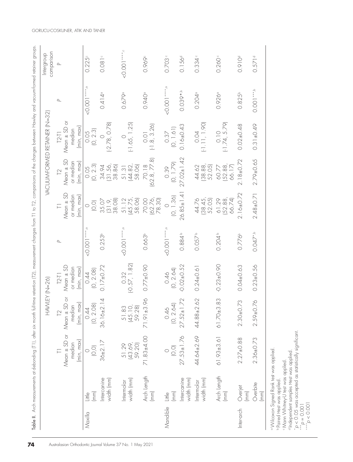|            |                                                                           | Table II. Arch measurements at debonding [T1], after six month |                                             |                            |                      |                                        |                            | full-time retention [T2], measurement changes from T1 to T2, comparisons of the changes between Hawley and vacuum-formed retainer groups |                      |                          |
|------------|---------------------------------------------------------------------------|----------------------------------------------------------------|---------------------------------------------|----------------------------|----------------------|----------------------------------------|----------------------------|------------------------------------------------------------------------------------------------------------------------------------------|----------------------|--------------------------|
|            |                                                                           |                                                                | HAWLEY (N=26)                               |                            |                      |                                        |                            | vacuumformed retainer (n=32)                                                                                                             |                      | comparison<br>Intergroup |
|            |                                                                           |                                                                | $\sum$                                      | $T2-T1$                    | $\mathbf{r}$         |                                        | $\mathbb{R}$               | $T2-T1$                                                                                                                                  | $\Delta$             | $\Delta$                 |
|            |                                                                           | median                                                         | $Mean \pm SD$ or $Mean \pm SD$ or<br>median | $Mean \pm SD$<br>or median |                      | $Mean \pm SD$<br>or median             | $Mean \pm SD$<br>or median | Mean $\pm$ SD or<br>median                                                                                                               |                      |                          |
|            |                                                                           | (min, max)                                                     | (min, max)                                  | (min, max)                 |                      | (min, max)                             | (min, max)                 | (min, max)                                                                                                                               |                      |                          |
| Maxilla    | $\binom{m}{k}$<br>$\frac{\mathbb{Q}}{\mathbb{H}}$                         | (0, 0)<br>$\circ$                                              | $\frac{0.44}{(0, 2.08)}$                    | $\frac{0.44}{0.2.08}$      | $0.001***$           | $\overline{O},\overline{O}$<br>$\circ$ | (O, 2.3)<br>0.05           | $0.05$<br>$(0, 2.3)$                                                                                                                     | $0.001***$           | 0.225c                   |
|            | ntercanine<br>width (mm)                                                  | $36 \pm 2.17$                                                  | $-2.14$<br>$36.16 \pm$                      | $0.17 \pm 0.72$            | 0.253 <sup>b</sup>   | (31.9, 38.08)<br>35.07                 | (31.56, 38.6)<br>34.94     | $(-2.78, 0.78)$<br>$\circ$                                                                                                               | $0.414$ <sup>o</sup> | $0.081$ c                |
|            | width (mm)<br>Intermolar                                                  | 51.29<br>(43.69)<br>59.20)                                     | 51.83<br>(45.10)<br>59.28)                  | $0.32$<br>(-0.57, 1.82)    | $1 + 1$              | 51.12<br>(45.75,<br>58.06)             | (44.82, 58.06)<br>51.31    | $[-1.65, 1.25]$<br>$\circ$                                                                                                               | 0.679°               | 0.0000                   |
|            | Arch Length<br>$\boxed{\text{mm}}$                                        | 71.83±4.00                                                     | 71.91±3.96                                  | $0.77 \pm 0.90$            | 0.663 <sup>b</sup>   | 70.00<br> 62.76,<br>78.30              | $70.18$<br>(62.8, 77.8)    | $0.01$<br>$[-1.8, 3.26]$                                                                                                                 | 0.940 <sup>°</sup>   | 0.969c                   |
| Mandible   | $\boxed{\text{mm}}$<br>$\frac{\Theta}{\Xi}$                               | $\overline{O},\overline{O}$                                    | $0.46$<br>$(0, 2.64)$                       | $0.46$<br>$(0, 2.64)$      | $0.001***$           | (0, 1.36)<br>$\circ$                   | $0.39$<br>$(0, 1.79)$      | $0.37$<br>$(0, 1.61)$                                                                                                                    | 0.0000               | $0.703 -$                |
|            | ntercanine<br>width (mm)                                                  | $27.53 \pm 1.76$                                               | $27.52 \pm 1.72$                            | $-0.02 + 0.52$             | $0.884$ <sup>b</sup> | $26.85 \pm 1.41$                       | $27.02 \pm 1.42$           | $0.16 \pm 0.43$                                                                                                                          | $0.039**.$           | $0.156^{d}$              |
|            | width (mm)<br>ntermolar                                                   | 44.64±2.69                                                     | $44.88 + 2.62$                              | $0.24 \pm 0.61$            | $0.057$ <sup>b</sup> | (38.45, 52.05)<br>44.76                | 44.62<br>(38.88,<br>52.05) | $\begin{array}{c} 0.04 \\ \text{[-1.11, 1.90]} \end{array}$                                                                              | $0.204$ <sup>o</sup> | 0.334                    |
|            | Arch Length<br>(mm)                                                       | $61.93 \pm 3.61$                                               | $61.70 \pm 3.83$                            | $-0.23 + 0.90$             | 0.204 <sup>b</sup>   | (52.88,<br>66.74)<br>61.29             | 60.77<br>(52.88,<br>66.17) | $0.10$<br>(-1.74, 5.79)                                                                                                                  | 0.926°               | 0.260                    |
| Inter-arch | Overjet<br>$\binom{m}{k}$                                                 | $2.27 \pm 0.88$                                                | $2.30 + 0.73$                               | $0.04 + 0.63$              | $0.776^{b}$          | $2.16 + 0.72$                          | $2.18 + 0.72$              | $0.02 \pm 0.48$                                                                                                                          | $0.825^{b}$          | 0.910 <sup>d</sup>       |
|            | Overbite<br>(mm)                                                          | $2.36 \pm 0.73$                                                | $2.59 + 0.76$                               | $0.23 \pm 0.56$            | $0.047*b$            | 2.48±0.71                              | 2.79±0.65                  | $0.31 \pm 0.49$                                                                                                                          | $0.001***$           | 0.571 <sup>d</sup>       |
|            | ·Wilcoxon Signed Rank test was applied.<br><b>Paired Hest was applied</b> |                                                                |                                             |                            |                      |                                        |                            |                                                                                                                                          |                      |                          |

c Mann Whitney-U test was applied. d Independent samples ttest was applied.

\*<br>\*<br>\*<br>\*

*p* = 0.001

\*\*\*\*

*p* < 0.001

*p* < 0.05 was accepted as statistically significant.

GORUCU-COSKUNER, ATIK AND TANER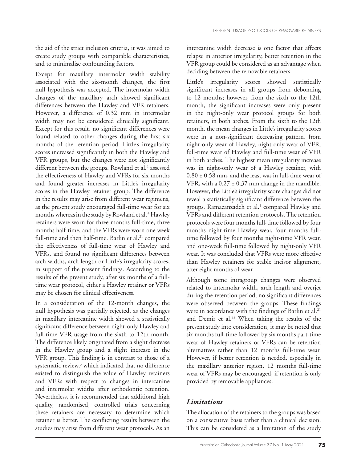the aid of the strict inclusion criteria, it was aimed to create study groups with comparable characteristics, and to minimalise confounding factors.

Except for maxillary intermolar width stability associated with the six-month changes, the first null hypothesis was accepted. The intermolar width changes of the maxillary arch showed significant differences between the Hawley and VFR retainers. However, a difference of 0.32 mm in intermolar width may not be considered clinically significant. Except for this result, no significant differences were found related to other changes during the first six months of the retention period. Little's irregularity scores increased significantly in both the Hawley and VFR groups, but the changes were not significantly different between the groups. Rowland et al.<sup>4</sup> assessed the effectiveness of Hawley and VFRs for six months and found greater increases in Little's irregularity scores in the Hawley retainer group. The difference in the results may arise from different wear regimens, as the present study encouraged full-time wear for six months whereas in the study by Rowland et al. 4 Hawley retainers were worn for three months full-time, three months half-time, and the VFRs were worn one week full-time and then half-time. Barlin et al.<sup>21</sup> compared the effectiveness of full-time wear of Hawley and VFRs, and found no significant differences between arch widths, arch length or Little's irregularity scores, in support of the present findings. According to the results of the present study, after six months of a fulltime wear protocol, either a Hawley retainer or VFRs may be chosen for clinical effectiveness.

In a consideration of the 12-month changes, the null hypothesis was partially rejected, as the changes in maxillary intercanine width showed a statistically significant difference between night-only Hawley and full-time VFR usage from the sixth to 12th month. The difference likely originated from a slight decrease in the Hawley group and a slight increase in the VFR group. This finding is in contrast to those of a systematic review,<sup>3</sup> which indicated that no difference existed to distinguish the value of Hawley retainers and VFRs with respect to changes in intercanine and intermolar widths after orthodontic retention. Nevertheless, it is recommended that additional high quality, randomised, controlled trials concerning these retainers are necessary to determine which retainer is better. The conflicting results between the studies may arise from different wear protocols. As an

intercanine width decrease is one factor that affects relapse in anterior irregularity, better retention in the VFR group could be considered as an advantage when deciding between the removable retainers.

Little's irregularity scores showed statistically significant increases in all groups from debonding to 12 months; however, from the sixth to the 12th month, the significant increases were only present in the night-only wear protocol groups for both retainers, in both arches. From the sixth to the 12th month, the mean changes in Little's irregularity scores were in a non-significant decreasing pattern, from night-only wear of Hawley, night only wear of VFR, full-time wear of Hawley and full-time wear of VFR in both arches. The highest mean irregularity increase was in night-only wear of a Hawley retainer, with  $0.80 \pm 0.58$  mm, and the least was in full-time wear of VFR, with a  $0.27 \pm 0.37$  mm change in the mandible. However, the Little's irregularity score changes did not reveal a statistically significant difference between the groups. Ramazanzadeh et al.<sup>5</sup> compared Hawley and VFRs and different retention protocols. The retention protocols were four months full-time followed by four months night-time Hawley wear, four months fulltime followed by four months night-time VFR wear, and one-week full-time followed by night-only VFR wear. It was concluded that VFRs were more effective than Hawley retainers for stable incisor alignment, after eight months of wear.

Although some intragroup changes were observed related to intermolar width, arch length and overjet during the retention period, no significant differences were observed between the groups. These findings were in accordance with the findings of Barlin et al.<sup>21</sup> and Demir et al.<sup>22</sup> When taking the results of the present study into consideration, it may be noted that six months full-time followed by six months part-time wear of Hawley retainers or VFRs can be retention alternatives rather than 12 months full-time wear. However, if better retention is needed, especially in the maxillary anterior region, 12 months full-time wear of VFRs may be encouraged, if retention is only provided by removable appliances.

#### *Limitations*

The allocation of the retainers to the groups was based on a consecutive basis rather than a clinical decision. This can be considered as a limitation of the study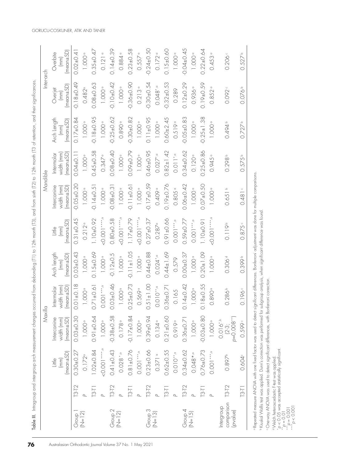|                                    |                                                                                                                                                                                                                                                                                                                                                                                                                                                                           |                    | Maxilla                                |                          |                               |                                        | Mandible                              |                          |                      | Inter-arch                |                                       |
|------------------------------------|---------------------------------------------------------------------------------------------------------------------------------------------------------------------------------------------------------------------------------------------------------------------------------------------------------------------------------------------------------------------------------------------------------------------------------------------------------------------------|--------------------|----------------------------------------|--------------------------|-------------------------------|----------------------------------------|---------------------------------------|--------------------------|----------------------|---------------------------|---------------------------------------|
|                                    |                                                                                                                                                                                                                                                                                                                                                                                                                                                                           | (mm)<br>iitle      | ntercanine<br>width (mm)               | width (mm)<br>Intermolar | Arch length<br>$\binom{m}{k}$ | $\frac{\omega}{\pm}$<br>$\binom{m}{k}$ | Intercanine<br>width (mm)             | width (mm)<br>Intermolar | Arch Length<br>(mm)  | Overjet<br>$\binom{m}{k}$ | Overbite<br>$\binom{m}{k}$            |
|                                    |                                                                                                                                                                                                                                                                                                                                                                                                                                                                           | $(mecn \pm SD)$    | $(m$ ean $\pm$ SD                      | $(mear \pm SD)$          | $(mean \pm SD)$               | $(mean \pm SD)$                        | $mean \pm SD$                         | $(mear \pm SD)$          | $(m$ ean $\pm$ SD)   | $(mecn \pm SD)$           | $(mear \pm SD)$                       |
| Group 1<br> N=12                   | T3-T2                                                                                                                                                                                                                                                                                                                                                                                                                                                                     | $0.30 + 0.27$      | $0.03 + 0.30$                          | $0.01 + 0.18$            | $0.03 + 0.43$                 | $0.31 \pm 0.45$                        | $0.05 + 0.20$                         | $0.04 \pm 0.1$           | $0.17 \pm 0.84$      | $-0.18 + 0.49$            | $0.02 \pm 0.41$                       |
|                                    |                                                                                                                                                                                                                                                                                                                                                                                                                                                                           | $0.172^{\circ}$    | $1.000$ <sup>o</sup>                   | $1.000$ <sup>o</sup>     | $1.000$ <sup>o</sup>          | $0.212$ <sup>a</sup>                   | $1.000^\circ$                         | $1.000^\circ$            | $1.000^\circ$        | 0.482°                    | $1.000^\circ$                         |
|                                    | $\begin{array}{c} \n \overline{13} \overline{11} \\ \overline{13} \overline{11} \\ \overline{12} \overline{11} \\ \overline{12} \overline{11} \\ \overline{12} \overline{11} \\ \overline{12} \overline{11} \\ \overline{12} \overline{11} \\ \overline{12} \overline{11} \\ \overline{12} \overline{11} \\ \overline{12} \overline{11} \\ \overline{12} \overline{11} \\ \overline{12} \overline{11} \\ \overline{12} \overline{11} \\ \overline{12} \overline{11} \\ \$ | $1.02 \pm 0.84$    | $0.91 + 0.64$                          | $0.71 \pm 0.61$          | $0.15 \pm 0.69$               | I.10±0.92                              | $-0.14 \pm 0.5$                       | $0.45 \pm 0.58$          | $-0.18 + 0.95$       | $0.08 + 0.63$             | $0.35 \pm 0.47$                       |
|                                    |                                                                                                                                                                                                                                                                                                                                                                                                                                                                           | 0.0000             | 1.000°                                 | $0.001***$               | $1.000$ <sup>o</sup>          | $0.001***$                             | $1.000^{\circ}$                       | $0.347$ <sup>a</sup>     | $1.000^\circ$        | $1.000^{\circ}$           | $0.121$ <sup><math>\circ</math></sup> |
| Group 2<br>(N=12)                  | T3-T2                                                                                                                                                                                                                                                                                                                                                                                                                                                                     | $0.41 \pm 0.43$    | $-0.38 + 0.58$                         | $0.03 + 0.46$            | $-0.12 \pm 0.5$               | $0.80 + 0.58$                          | $0.08 + 0.3$                          | 0.08±0.40                | $0.25 + 0.62$        | $0.10 + 0.42$             | $0.14 \pm 0.39$                       |
|                                    |                                                                                                                                                                                                                                                                                                                                                                                                                                                                           | $0.028$ *,a        | 0.178                                  | $1.000$ <sup>o</sup>     | $1.000$ <sup>o</sup>          | 0.0000                                 | 1.000                                 | $1.000$ <sup>o</sup>     | 0.890                | $1.000$ <sup>a</sup>      | 0.884                                 |
|                                    | $T3-T1$                                                                                                                                                                                                                                                                                                                                                                                                                                                                   | $0.81 \pm 0.76$    | $-0.17 \pm 0.84$                       | $0.25 \pm 0.73$          | $0.11 \pm 1.05$               | $1.17 + 0.79$                          | $-0.11 + 0.61$                        | 0.020.79                 | $0.30 + 0.82$        | $0.36 + 0.90$             | $0.23 \pm 0.58$                       |
|                                    |                                                                                                                                                                                                                                                                                                                                                                                                                                                                           | $0.001***$         | $1.000^{\circ}$                        | 0.569°                   | $1.000$ <sup>o</sup>          | $0.001***$                             | $1.000^{\circ}$                       | $1.000^\circ$            | $1.000$ <sup>a</sup> | 0.213                     | $0.557$ <sup>a</sup>                  |
| Group 3<br>(N=13)                  | T3-T2                                                                                                                                                                                                                                                                                                                                                                                                                                                                     | $0.23 \pm 0.66$    | 0.39±0.94                              | $0.51 \pm 1.00$          | $0.44 \pm 0.88$               | $0.27 \pm 0.37$                        | $-0.17 \pm 0.59$                      | 0.46±0.95                | $0.11 + 0.95$        | $0.30 + 0.54$             | $0.24 + 0.50$                         |
|                                    |                                                                                                                                                                                                                                                                                                                                                                                                                                                                           | $0.371$ $\circ$    | $0.134$ <sup><math>\circ</math></sup>  | $O. O 10**$              | $0.024^{*}$                   | 0.287°                                 | 0.409                                 | $0.027$ *, $\alpha$      | $1.000^\circ$        | $0.048^{*}$               | $0.172$ <sup>a</sup>                  |
|                                    | $T3-T1$                                                                                                                                                                                                                                                                                                                                                                                                                                                                   | $0.62 \pm 0.55$    | $0.21 + 0.60$                          | $0.36 \pm 0.7$           | $0.44 \pm 1.69$               | $0.91 \pm 0.66$                        | $0.19 + 0.76$                         | $0.82 \pm 1.42$          | $0.60 + 2.45$        | $-0.32 + 0.53$            | $0.15 \pm 0.60$                       |
|                                    |                                                                                                                                                                                                                                                                                                                                                                                                                                                                           | $0.010***$ o       | $0.919$ <sup>a</sup>                   | 0.165                    | 0.579                         | $0.001***$                             | $0.805$ <sup><math>\circ</math></sup> | $0.011$ *.               | 0.519°               | 0.289                     | $1.000^\circ$                         |
| Group 4<br>$(N=15)$                | T3-T2                                                                                                                                                                                                                                                                                                                                                                                                                                                                     | $0.34 \pm 0.62$    | $0.36 + 0.7$                           | $0.14 \pm 0.42$          | $0.00 + 0.37$                 | 0.59±0.77                              | $0.06 + 0.42$                         | $0.34 \pm 0.62$          | $0.05 + 0.83$        | $0.12 + 0.29$             | O.O4±0.45                             |
|                                    |                                                                                                                                                                                                                                                                                                                                                                                                                                                                           | $0.048**$          | $1.000^\circ$                          | $1.000$ <sup>a</sup>     | $1.000$ <sup>o</sup>          | $0.001***$                             | $1.000^{\circ}$                       | $0.120$ <sup>a</sup>     | $1.000$ <sup>o</sup> | 0.936                     | $1.000^\circ$                         |
|                                    | $T3-T1$                                                                                                                                                                                                                                                                                                                                                                                                                                                                   | $0.76 + 0.73$      | $-0.03 + 0.80$                         | $0.18 \pm 0.55$          | $0.20 + 1.09$                 | 1.10±0.91                              | $0.07 + 0.50$                         | $0.25 \pm 0.86$          | $0.25 \pm 1.38$      | 0.19±0.59                 | $0.22 \pm 0.64$                       |
|                                    |                                                                                                                                                                                                                                                                                                                                                                                                                                                                           | $0.001***$         | $1.000^\circ$                          | 0.890°                   | $1.000$ <sup>o</sup>          | 0.000                                  | $1.000^\circ$                         | $0.945$ <sup>o</sup>     | $1.000^\circ$        | 0.852                     | 0.453°                                |
| comparison<br>ntergroup<br>pvalue) | T3-T2                                                                                                                                                                                                                                                                                                                                                                                                                                                                     | $0.897^{\circ}$    | $(2-3;$<br>p=0.008**)<br>$0.016^{*,b}$ | $0.286^{b}$              | 0.306 <sup>d</sup>            | 0.119 <sup>b</sup>                     | 0.651 b                               | 0.298 <sup>b</sup>       | 47670                | 0.092                     | 0.206                                 |
|                                    | $T3-T1$                                                                                                                                                                                                                                                                                                                                                                                                                                                                   | 0.604 <sup>c</sup> | 0.599                                  | 0.196c                   | 0.399 b                       | 0.875c                                 | 0.481                                 | 0.575b                   | $0.727$ <sup>b</sup> | $0.076$ <sup>b</sup>      | 0.527 <sup>b</sup>                    |
|                                    |                                                                                                                                                                                                                                                                                                                                                                                                                                                                           |                    |                                        |                          |                               |                                        |                                       |                          |                      |                           |                                       |

a Repeated measure ANOVA with one fixed factor was used to detect significant differences. Bonferroni adjustment was done for multiple comparisons. ®Repeated measure ANOVA with one fixed factor was used to detect significant differences. Bonferroni adjustment was done for multiple comparisons. bKruskal Wallis test was applied. Dunn's correction was performed for subgroup analysis, when significant difference was found.

b Kruskal Wallis test was applied. Dunn's correction was performed for subgroup analysis, when significant difference was found.

c One-way ANOVA was used to detect significant differences, with Bonferroni correction. · One-way ANOVA was used to detect significant differences, with Bonferroni correction.

d Welch heteroscedastic F-test was applied.

*p* < 0.05 was accepted statistically significant.

*p* = 0.01<br> **p** = 0.01<br> **p** = 0.01<br> **p** = 0.001<br> **p** < 0.05 w

*p* < 0.001

Table III. Intragroup and intergroup arch measurement changes occurred from debonding (T1) to 12th month (T3), and from sixth (T2) to 12th month (T3 of retention, and their significances.

Table III. Introgroup and intergroup arch measurement changes occurred from debonding (T1) to 12th month (T2) to 12th month (T3) of retention, and their significances.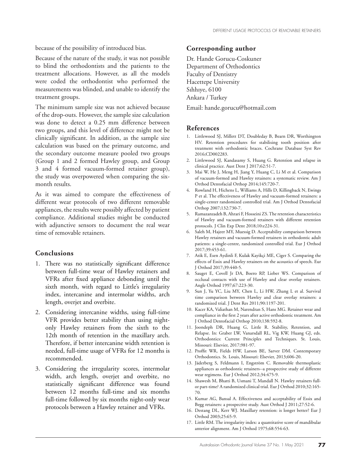because of the possibility of introduced bias.

Because of the nature of the study, it was not possible to blind the orthodontists and the patients to the treatment allocations. However, as all the models were coded the orthodontist who performed the measurements was blinded, and unable to identify the treatment groups.

The minimum sample size was not achieved because of the drop-outs. However, the sample size calculation was done to detect a 0.25 mm difference between two groups, and this level of difference might not be clinically significant. In addition, as the sample size calculation was based on the primary outcome, and the secondary outcome measure pooled two groups (Group 1 and 2 formed Hawley group, and Group 3 and 4 formed vacuum-formed retainer group), the study was overpowered when comparing the sixmonth results.

As it was aimed to compare the effectiveness of different wear protocols of two different removable appliances, the results were possibly affected by patient compliance. Additional studies might be conducted with adjunctive sensors to document the real wear time of removable retainers.

#### **Conclusions**

- 1. There was no statistically significant difference between full-time wear of Hawley retainers and VFRs after fixed appliance debonding until the sixth month, with regard to Little's irregularity index, intercanine and intermolar widths, arch length, overjet and overbite.
- 2. Considering intercanine widths, using full-time VFR provides better stability than using nightonly Hawley retainers from the sixth to the 12th month of retention in the maxillary arch. Therefore, if better intercanine width retention is needed, full-time usage of VFRs for 12 months is recommended.
- 3. Considering the irregularity scores, intermolar width, arch length, overjet and overbite, no statistically significant difference was found between 12 months full-time and six months full-time followed by six months night-only wear protocols between a Hawley retainer and VFRs.

#### **Corresponding author**

Dr. Hande Gorucu-Coskuner Department of Orthodontics Faculty of Dentistry Hacettepe University Sıhhıye, 6100 Ankara / Turkey

Email: hande.gorucu@hotmail.com

#### **References**

- 1. Littlewood SJ, Millett DT, Doubleday B, Bearn DR, Worthington HV. Retention procedures for stabilising tooth position after treatment with orthodontic braces. Cochrane Database Syst Rev 2016;CD002283.
- 2. Littlewood SJ, Kandasamy S, Huang G. Retention and relapse in clinical practice. Aust Dent J 2017;62:51-7.
- 3. Mai W, He J, Meng H, Jiang Y, Huang C, Li M et al. Comparison of vacuum-formed and Hawley retainers: a systematic review. Am J Orthod Dentofacial Orthop 2014;145:720-7.
- 4. Rowland H, Hichens L, Williams A, Hills D, Killingback N, Ewings P et al. The effectiveness of Hawley and vacuum-formed retainers: a single-center randomized controlled trial. Am J Orthod Dentofacial Orthop 2007;132:730-7.
- 5. Ramazanzadeh B, Ahrari F, Hosseini ZS. The retention characteristics of Hawley and vacuum-formed retainers with different retention protocols. J Clin Exp Dent 2018;10:e224-31.
- 6. Saleh M, Hajeer MY, Muessig D. Acceptability comparison between Hawley retainers and vacuum-formed retainers in orthodontic adult patients: a single-centre, randomized controlled trial. Eur J Orthod 2017;39:453-61.
- 7. Atik E, Esen Aydinli F, Kulak Kayikçi ME, Ciger S. Comparing the effects of Essix and Hawley retainers on the acoustics of speech. Eur J Orthod 2017;39:440-5.
- 8. Sauget E, Covell Jr DA, Boero RP, Lieber WS. Comparison of occlusal contacts with use of Hawley and clear overlay retainers. Angle Orthod 1997;67:223-30.
- 9. Sun J, Yu YC, Liu MY, Chen L, Li HW, Zhang L et al. Survival time comparison between Hawley and clear overlay retainers: a randomized trial. J Dent Res 2011;90:1197-201.
- 10. Kacer KA, Valiathan M, Narendran S, Hans MG. Retainer wear and compliance in the first 2 years after active orthodontic treatment. Am J Orthod Dentofacial Orthop 2010;138:592-8.
- 11. Joondeph DR, Huang G, Little R. Stability, Retention, and Relapse. In: Graber LW, Vanarsdall RL, Vig KW, Huang GJ, eds. Orthodontics: Current Principles and Techniques. St. Louis, Missouri: Elsevier, 2017;981-97.
- 12. Proffit WR, Fields HW, Larson BE, Sarver DM. Contemporary Orthodontics. St. Louis, Missouri: Elsevier, 2013;606-20.
- 13. Jäderberg S, Feldmann I, Engström C. Removable thermoplastic appliances as orthodontic retainers--a prospective study of different wear regimens. Eur J Orthod 2012;34:475-9.
- 14. Shawesh M, Bhatti B, Usmani T, Mandall N. Hawley retainers fullor part-time? A randomized clinical trial. Eur J Orthod 2010;32:165- 70.
- 15. Kumar AG, Bansal A. Effectiveness and acceptability of Essix and Begg retainers: a prospective study. Aust Orthod J 2011;27:52-6.
- 16. Destang DL, Kerr WJ. Maxillary retention: is longer better? Eur J Orthod 2003;25:65-9.
- 17. Little RM. The irregularity index: a quantitative score of mandibular anterior alignment. Am J Orthod 1975;68:554-63.